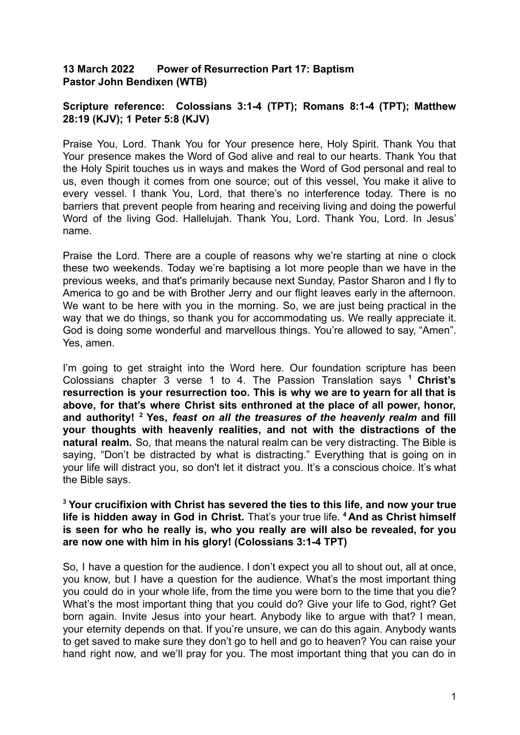## **13 March 2022 Power of Resurrection Part 17: Baptism Pastor John Bendixen (WTB)**

## **Scripture reference: Colossians 3:1-4 (TPT); Romans 8:1-4 (TPT); Matthew 28:19 (KJV); 1 Peter 5:8 (KJV)**

Praise You, Lord. Thank You for Your presence here, Holy Spirit. Thank You that Your presence makes the Word of God alive and real to our hearts. Thank You that the Holy Spirit touches us in ways and makes the Word of God personal and real to us, even though it comes from one source; out of this vessel, You make it alive to every vessel. I thank You, Lord, that there's no interference today. There is no barriers that prevent people from hearing and receiving living and doing the powerful Word of the living God. Hallelujah. Thank You, Lord. Thank You, Lord. In Jesus' name.

Praise the Lord. There are a couple of reasons why we're starting at nine o clock these two weekends. Today we're baptising a lot more people than we have in the previous weeks, and that's primarily because next Sunday, Pastor Sharon and I fly to America to go and be with Brother Jerry and our flight leaves early in the afternoon. We want to be here with you in the morning. So, we are just being practical in the way that we do things, so thank you for accommodating us. We really appreciate it. God is doing some wonderful and marvellous things. You're allowed to say, "Amen". Yes, amen.

I'm going to get straight into the Word here. Our foundation scripture has been Colossians chapter 3 verse 1 to 4. The Passion Translation says **<sup>1</sup> Christ's resurrection is your resurrection too. This is why we are to yearn for all that is above, for that's where Christ sits enthroned at the place of all power, honor, and authority! <sup>2</sup> Yes,** *feast on all the treasures of the heavenly realm* **and fill your thoughts with heavenly realities, and not with the distractions of the natural realm.** So, that means the natural realm can be very distracting. The Bible is saying, "Don't be distracted by what is distracting." Everything that is going on in your life will distract you, so don't let it distract you. It's a conscious choice. It's what the Bible says.

## **<sup>3</sup> Your crucifixion with Christ has severed the ties to this life, and now your true life is hidden away in God in Christ.** That's your true life. **<sup>4</sup> And as Christ himself is seen for who he really is, who you really are will also be revealed, for you are now one with him in his glory! (Colossians 3:1-4 TPT)**

So, I have a question for the audience. I don't expect you all to shout out, all at once, you know, but I have a question for the audience. What's the most important thing you could do in your whole life, from the time you were born to the time that you die? What's the most important thing that you could do? Give your life to God, right? Get born again. Invite Jesus into your heart. Anybody like to argue with that? I mean, your eternity depends on that. If you're unsure, we can do this again. Anybody wants to get saved to make sure they don't go to hell and go to heaven? You can raise your hand right now, and we'll pray for you. The most important thing that you can do in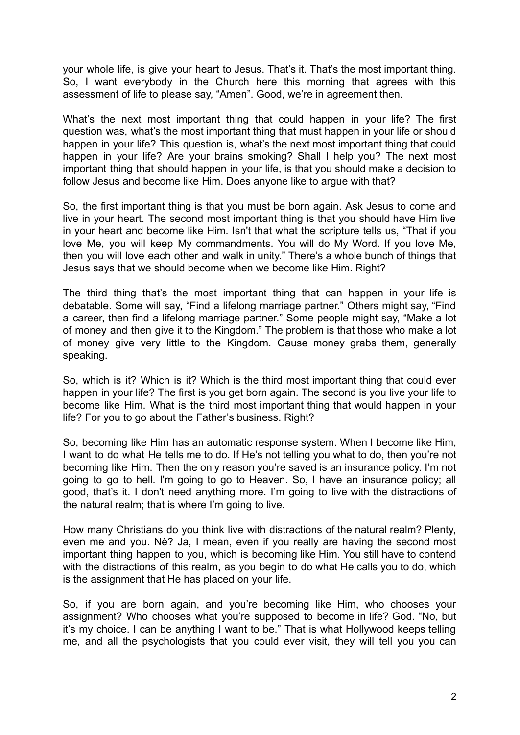your whole life, is give your heart to Jesus. That's it. That's the most important thing. So, I want everybody in the Church here this morning that agrees with this assessment of life to please say, "Amen". Good, we're in agreement then.

What's the next most important thing that could happen in your life? The first question was, what's the most important thing that must happen in your life or should happen in your life? This question is, what's the next most important thing that could happen in your life? Are your brains smoking? Shall I help you? The next most important thing that should happen in your life, is that you should make a decision to follow Jesus and become like Him. Does anyone like to argue with that?

So, the first important thing is that you must be born again. Ask Jesus to come and live in your heart. The second most important thing is that you should have Him live in your heart and become like Him. Isn't that what the scripture tells us, "That if you love Me, you will keep My commandments. You will do My Word. If you love Me, then you will love each other and walk in unity." There's a whole bunch of things that Jesus says that we should become when we become like Him. Right?

The third thing that's the most important thing that can happen in your life is debatable. Some will say, "Find a lifelong marriage partner." Others might say, "Find a career, then find a lifelong marriage partner." Some people might say, "Make a lot of money and then give it to the Kingdom." The problem is that those who make a lot of money give very little to the Kingdom. Cause money grabs them, generally speaking.

So, which is it? Which is it? Which is the third most important thing that could ever happen in your life? The first is you get born again. The second is you live your life to become like Him. What is the third most important thing that would happen in your life? For you to go about the Father's business. Right?

So, becoming like Him has an automatic response system. When I become like Him, I want to do what He tells me to do. If He's not telling you what to do, then you're not becoming like Him. Then the only reason you're saved is an insurance policy. I'm not going to go to hell. I'm going to go to Heaven. So, I have an insurance policy; all good, that's it. I don't need anything more. I'm going to live with the distractions of the natural realm; that is where I'm going to live.

How many Christians do you think live with distractions of the natural realm? Plenty, even me and you. Nè? Ja, I mean, even if you really are having the second most important thing happen to you, which is becoming like Him. You still have to contend with the distractions of this realm, as you begin to do what He calls you to do, which is the assignment that He has placed on your life.

So, if you are born again, and you're becoming like Him, who chooses your assignment? Who chooses what you're supposed to become in life? God. "No, but it's my choice. I can be anything I want to be." That is what Hollywood keeps telling me, and all the psychologists that you could ever visit, they will tell you you can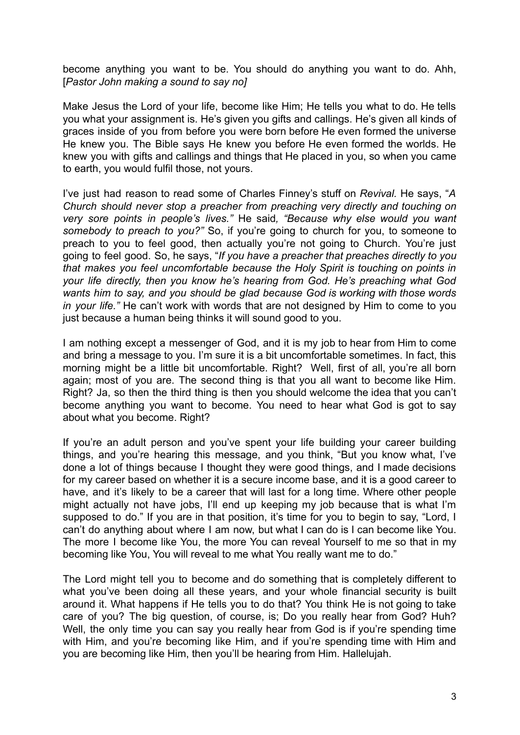become anything you want to be. You should do anything you want to do. Ahh, [*Pastor John making a sound to say no]*

Make Jesus the Lord of your life, become like Him; He tells you what to do. He tells you what your assignment is. He's given you gifts and callings. He's given all kinds of graces inside of you from before you were born before He even formed the universe He knew you. The Bible says He knew you before He even formed the worlds. He knew you with gifts and callings and things that He placed in you, so when you came to earth, you would fulfil those, not yours.

I've just had reason to read some of Charles Finney's stuff on *Revival.* He says, "*A Church should never stop a preacher from preaching very directly and touching on very sore points in people's lives."* He said*, "Because why else would you want somebody to preach to you?"* So, if you're going to church for you, to someone to preach to you to feel good, then actually you're not going to Church. You're just going to feel good. So, he says, "*If you have a preacher that preaches directly to you that makes you feel uncomfortable because the Holy Spirit is touching on points in your life directly, then you know he's hearing from God. He's preaching what God wants him to say, and you should be glad because God is working with those words in your life."* He can't work with words that are not designed by Him to come to you just because a human being thinks it will sound good to you.

I am nothing except a messenger of God, and it is my job to hear from Him to come and bring a message to you. I'm sure it is a bit uncomfortable sometimes. In fact, this morning might be a little bit uncomfortable. Right? Well, first of all, you're all born again; most of you are. The second thing is that you all want to become like Him. Right? Ja, so then the third thing is then you should welcome the idea that you can't become anything you want to become. You need to hear what God is got to say about what you become. Right?

If you're an adult person and you've spent your life building your career building things, and you're hearing this message, and you think, "But you know what, I've done a lot of things because I thought they were good things, and I made decisions for my career based on whether it is a secure income base, and it is a good career to have, and it's likely to be a career that will last for a long time. Where other people might actually not have jobs, I'll end up keeping my job because that is what I'm supposed to do." If you are in that position, it's time for you to begin to say, "Lord, I can't do anything about where I am now, but what I can do is I can become like You. The more I become like You, the more You can reveal Yourself to me so that in my becoming like You, You will reveal to me what You really want me to do."

The Lord might tell you to become and do something that is completely different to what you've been doing all these years, and your whole financial security is built around it. What happens if He tells you to do that? You think He is not going to take care of you? The big question, of course, is; Do you really hear from God? Huh? Well, the only time you can say you really hear from God is if you're spending time with Him, and you're becoming like Him, and if you're spending time with Him and you are becoming like Him, then you'll be hearing from Him. Hallelujah.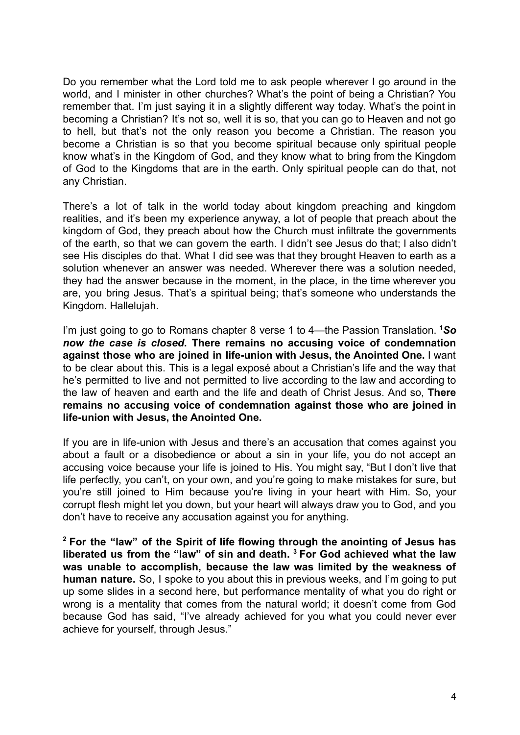Do you remember what the Lord told me to ask people wherever I go around in the world, and I minister in other churches? What's the point of being a Christian? You remember that. I'm just saying it in a slightly different way today. What's the point in becoming a Christian? It's not so, well it is so, that you can go to Heaven and not go to hell, but that's not the only reason you become a Christian. The reason you become a Christian is so that you become spiritual because only spiritual people know what's in the Kingdom of God, and they know what to bring from the Kingdom of God to the Kingdoms that are in the earth. Only spiritual people can do that, not any Christian.

There's a lot of talk in the world today about kingdom preaching and kingdom realities, and it's been my experience anyway, a lot of people that preach about the kingdom of God, they preach about how the Church must infiltrate the governments of the earth, so that we can govern the earth. I didn't see Jesus do that; I also didn't see His disciples do that. What I did see was that they brought Heaven to earth as a solution whenever an answer was needed. Wherever there was a solution needed, they had the answer because in the moment, in the place, in the time wherever you are, you bring Jesus. That's a spiritual being; that's someone who understands the Kingdom. Hallelujah.

I'm just going to go to Romans chapter 8 verse 1 to 4—the Passion Translation. **<sup>1</sup>***So now the case is closed***. There remains no accusing voice of condemnation against those who are joined in life-union with Jesus, the Anointed One.** I want to be clear about this. This is a legal exposé about a Christian's life and the way that he's permitted to live and not permitted to live according to the law and according to the law of heaven and earth and the life and death of Christ Jesus. And so, **There remains no accusing voice of condemnation against those who are joined in life-union with Jesus, the Anointed One.**

If you are in life-union with Jesus and there's an accusation that comes against you about a fault or a disobedience or about a sin in your life, you do not accept an accusing voice because your life is joined to His. You might say, "But I don't live that life perfectly, you can't, on your own, and you're going to make mistakes for sure, but you're still joined to Him because you're living in your heart with Him. So, your corrupt flesh might let you down, but your heart will always draw you to God, and you don't have to receive any accusation against you for anything.

**<sup>2</sup> For the "law" of the Spirit of life flowing through the anointing of Jesus has liberated us from the "law" of sin and death. <sup>3</sup> For God achieved what the law was unable to accomplish, because the law was limited by the weakness of human nature.** So, I spoke to you about this in previous weeks, and I'm going to put up some slides in a second here, but performance mentality of what you do right or wrong is a mentality that comes from the natural world; it doesn't come from God because God has said, "I've already achieved for you what you could never ever achieve for yourself, through Jesus."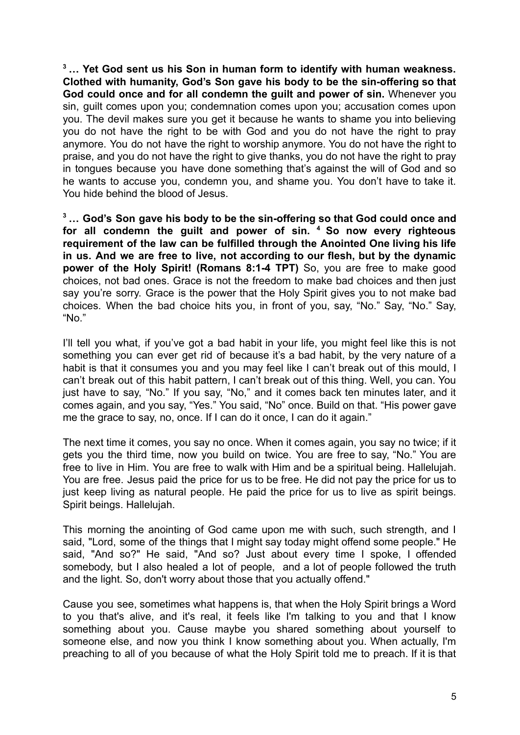**<sup>3</sup> … Yet God sent us his Son in human form to identify with human weakness. Clothed with humanity, God's Son gave his body to be the sin-offering so that God could once and for all condemn the guilt and power of sin.** Whenever you sin, guilt comes upon you; condemnation comes upon you; accusation comes upon you. The devil makes sure you get it because he wants to shame you into believing you do not have the right to be with God and you do not have the right to pray anymore. You do not have the right to worship anymore. You do not have the right to praise, and you do not have the right to give thanks, you do not have the right to pray in tongues because you have done something that's against the will of God and so he wants to accuse you, condemn you, and shame you. You don't have to take it. You hide behind the blood of Jesus.

**<sup>3</sup> … God's Son gave his body to be the sin-offering so that God could once and for all condemn the guilt and power of sin. <sup>4</sup> So now every righteous requirement of the law can be fulfilled through the Anointed One living his life in us. And we are free to live, not according to our flesh, but by the dynamic power of the Holy Spirit! (Romans 8:1-4 TPT)** So, you are free to make good choices, not bad ones. Grace is not the freedom to make bad choices and then just say you're sorry. Grace is the power that the Holy Spirit gives you to not make bad choices. When the bad choice hits you, in front of you, say, "No." Say, "No." Say, "No."

I'll tell you what, if you've got a bad habit in your life, you might feel like this is not something you can ever get rid of because it's a bad habit, by the very nature of a habit is that it consumes you and you may feel like I can't break out of this mould, I can't break out of this habit pattern, I can't break out of this thing. Well, you can. You just have to say, "No." If you say, "No," and it comes back ten minutes later, and it comes again, and you say, "Yes." You said, "No" once. Build on that. "His power gave me the grace to say, no, once. If I can do it once, I can do it again."

The next time it comes, you say no once. When it comes again, you say no twice; if it gets you the third time, now you build on twice. You are free to say, "No." You are free to live in Him. You are free to walk with Him and be a spiritual being. Hallelujah. You are free. Jesus paid the price for us to be free. He did not pay the price for us to just keep living as natural people. He paid the price for us to live as spirit beings. Spirit beings. Hallelujah.

This morning the anointing of God came upon me with such, such strength, and I said, "Lord, some of the things that I might say today might offend some people." He said, "And so?" He said, "And so? Just about every time I spoke, I offended somebody, but I also healed a lot of people, and a lot of people followed the truth and the light. So, don't worry about those that you actually offend."

Cause you see, sometimes what happens is, that when the Holy Spirit brings a Word to you that's alive, and it's real, it feels like I'm talking to you and that I know something about you. Cause maybe you shared something about yourself to someone else, and now you think I know something about you. When actually, I'm preaching to all of you because of what the Holy Spirit told me to preach. If it is that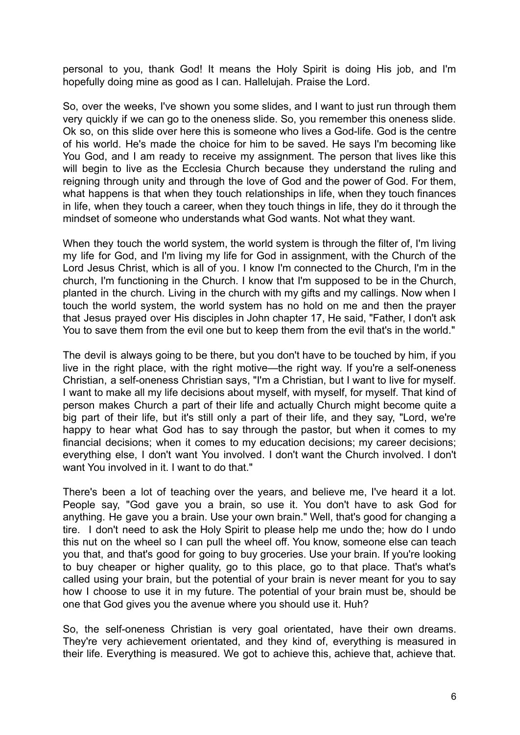personal to you, thank God! It means the Holy Spirit is doing His job, and I'm hopefully doing mine as good as I can. Hallelujah. Praise the Lord.

So, over the weeks, I've shown you some slides, and I want to just run through them very quickly if we can go to the oneness slide. So, you remember this oneness slide. Ok so, on this slide over here this is someone who lives a God-life. God is the centre of his world. He's made the choice for him to be saved. He says I'm becoming like You God, and I am ready to receive my assignment. The person that lives like this will begin to live as the Ecclesia Church because they understand the ruling and reigning through unity and through the love of God and the power of God. For them, what happens is that when they touch relationships in life, when they touch finances in life, when they touch a career, when they touch things in life, they do it through the mindset of someone who understands what God wants. Not what they want.

When they touch the world system, the world system is through the filter of, I'm living my life for God, and I'm living my life for God in assignment, with the Church of the Lord Jesus Christ, which is all of you. I know I'm connected to the Church, I'm in the church, I'm functioning in the Church. I know that I'm supposed to be in the Church, planted in the church. Living in the church with my gifts and my callings. Now when I touch the world system, the world system has no hold on me and then the prayer that Jesus prayed over His disciples in John chapter 17, He said, "Father, I don't ask You to save them from the evil one but to keep them from the evil that's in the world."

The devil is always going to be there, but you don't have to be touched by him, if you live in the right place, with the right motive—the right way. If you're a self-oneness Christian, a self-oneness Christian says, "I'm a Christian, but I want to live for myself. I want to make all my life decisions about myself, with myself, for myself. That kind of person makes Church a part of their life and actually Church might become quite a big part of their life, but it's still only a part of their life, and they say, "Lord, we're happy to hear what God has to say through the pastor, but when it comes to my financial decisions; when it comes to my education decisions; my career decisions; everything else, I don't want You involved. I don't want the Church involved. I don't want You involved in it. I want to do that."

There's been a lot of teaching over the years, and believe me, I've heard it a lot. People say, "God gave you a brain, so use it. You don't have to ask God for anything. He gave you a brain. Use your own brain." Well, that's good for changing a tire. I don't need to ask the Holy Spirit to please help me undo the; how do I undo this nut on the wheel so I can pull the wheel off. You know, someone else can teach you that, and that's good for going to buy groceries. Use your brain. If you're looking to buy cheaper or higher quality, go to this place, go to that place. That's what's called using your brain, but the potential of your brain is never meant for you to say how I choose to use it in my future. The potential of your brain must be, should be one that God gives you the avenue where you should use it. Huh?

So, the self-oneness Christian is very goal orientated, have their own dreams. They're very achievement orientated, and they kind of, everything is measured in their life. Everything is measured. We got to achieve this, achieve that, achieve that.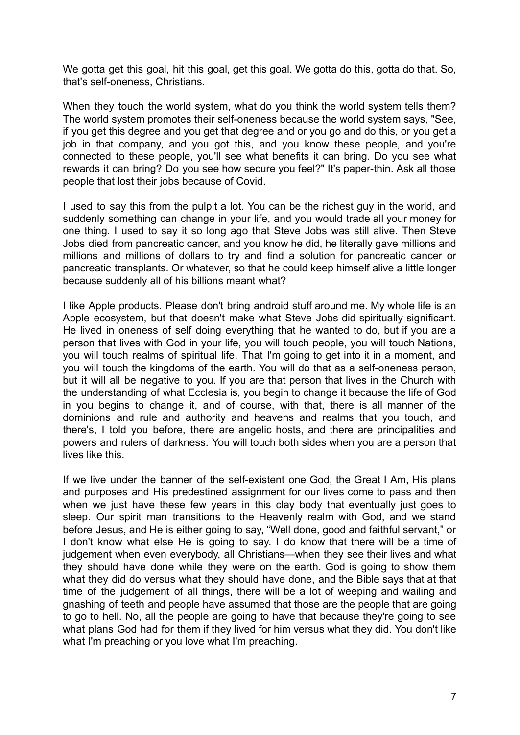We gotta get this goal, hit this goal, get this goal. We gotta do this, gotta do that. So, that's self-oneness, Christians.

When they touch the world system, what do you think the world system tells them? The world system promotes their self-oneness because the world system says, "See, if you get this degree and you get that degree and or you go and do this, or you get a job in that company, and you got this, and you know these people, and you're connected to these people, you'll see what benefits it can bring. Do you see what rewards it can bring? Do you see how secure you feel?" It's paper-thin. Ask all those people that lost their jobs because of Covid.

I used to say this from the pulpit a lot. You can be the richest guy in the world, and suddenly something can change in your life, and you would trade all your money for one thing. I used to say it so long ago that Steve Jobs was still alive. Then Steve Jobs died from pancreatic cancer, and you know he did, he literally gave millions and millions and millions of dollars to try and find a solution for pancreatic cancer or pancreatic transplants. Or whatever, so that he could keep himself alive a little longer because suddenly all of his billions meant what?

I like Apple products. Please don't bring android stuff around me. My whole life is an Apple ecosystem, but that doesn't make what Steve Jobs did spiritually significant. He lived in oneness of self doing everything that he wanted to do, but if you are a person that lives with God in your life, you will touch people, you will touch Nations, you will touch realms of spiritual life. That I'm going to get into it in a moment, and you will touch the kingdoms of the earth. You will do that as a self-oneness person, but it will all be negative to you. If you are that person that lives in the Church with the understanding of what Ecclesia is, you begin to change it because the life of God in you begins to change it, and of course, with that, there is all manner of the dominions and rule and authority and heavens and realms that you touch, and there's, I told you before, there are angelic hosts, and there are principalities and powers and rulers of darkness. You will touch both sides when you are a person that lives like this.

If we live under the banner of the self-existent one God, the Great I Am, His plans and purposes and His predestined assignment for our lives come to pass and then when we just have these few years in this clay body that eventually just goes to sleep. Our spirit man transitions to the Heavenly realm with God, and we stand before Jesus, and He is either going to say, "Well done, good and faithful servant," or I don't know what else He is going to say. I do know that there will be a time of judgement when even everybody, all Christians—when they see their lives and what they should have done while they were on the earth. God is going to show them what they did do versus what they should have done, and the Bible says that at that time of the judgement of all things, there will be a lot of weeping and wailing and gnashing of teeth and people have assumed that those are the people that are going to go to hell. No, all the people are going to have that because they're going to see what plans God had for them if they lived for him versus what they did. You don't like what I'm preaching or you love what I'm preaching.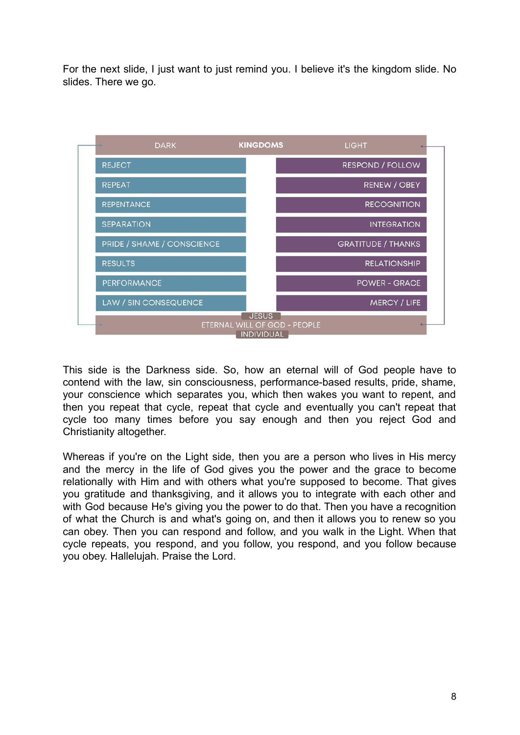For the next slide, I just want to just remind you. I believe it's the kingdom slide. No slides. There we go.



This side is the Darkness side. So, how an eternal will of God people have to contend with the law, sin consciousness, performance-based results, pride, shame, your conscience which separates you, which then wakes you want to repent, and then you repeat that cycle, repeat that cycle and eventually you can't repeat that cycle too many times before you say enough and then you reject God and Christianity altogether.

Whereas if you're on the Light side, then you are a person who lives in His mercy and the mercy in the life of God gives you the power and the grace to become relationally with Him and with others what you're supposed to become. That gives you gratitude and thanksgiving, and it allows you to integrate with each other and with God because He's giving you the power to do that. Then you have a recognition of what the Church is and what's going on, and then it allows you to renew so you can obey. Then you can respond and follow, and you walk in the Light. When that cycle repeats, you respond, and you follow, you respond, and you follow because you obey. Hallelujah. Praise the Lord.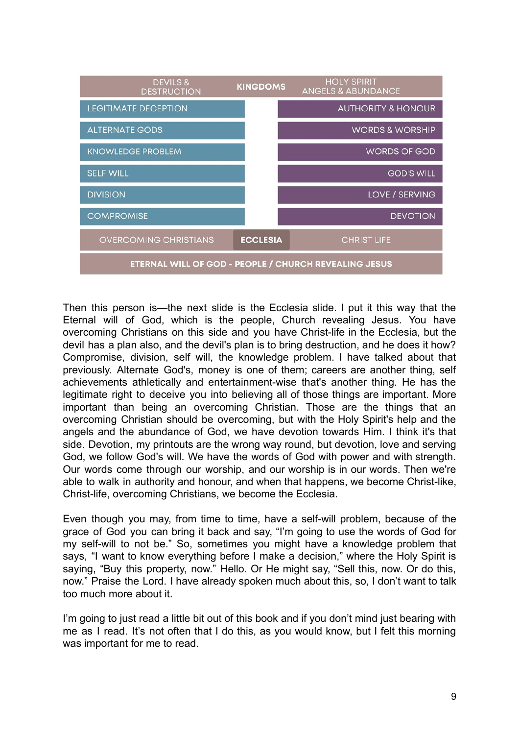

Then this person is—the next slide is the Ecclesia slide. I put it this way that the Eternal will of God, which is the people, Church revealing Jesus. You have overcoming Christians on this side and you have Christ-life in the Ecclesia, but the devil has a plan also, and the devil's plan is to bring destruction, and he does it how? Compromise, division, self will, the knowledge problem. I have talked about that previously. Alternate God's, money is one of them; careers are another thing, self achievements athletically and entertainment-wise that's another thing. He has the legitimate right to deceive you into believing all of those things are important. More important than being an overcoming Christian. Those are the things that an overcoming Christian should be overcoming, but with the Holy Spirit's help and the angels and the abundance of God, we have devotion towards Him. I think it's that side. Devotion, my printouts are the wrong way round, but devotion, love and serving God, we follow God's will. We have the words of God with power and with strength. Our words come through our worship, and our worship is in our words. Then we're able to walk in authority and honour, and when that happens, we become Christ-like, Christ-life, overcoming Christians, we become the Ecclesia.

Even though you may, from time to time, have a self-will problem, because of the grace of God you can bring it back and say, "I'm going to use the words of God for my self-will to not be." So, sometimes you might have a knowledge problem that says, "I want to know everything before I make a decision," where the Holy Spirit is saying, "Buy this property, now." Hello. Or He might say, "Sell this, now. Or do this, now." Praise the Lord. I have already spoken much about this, so, I don't want to talk too much more about it.

I'm going to just read a little bit out of this book and if you don't mind just bearing with me as I read. It's not often that I do this, as you would know, but I felt this morning was important for me to read.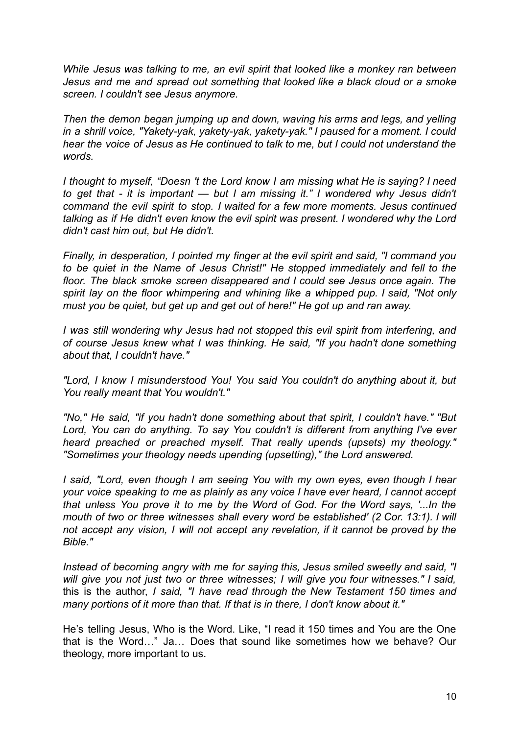*While Jesus was talking to me, an evil spirit that looked like a monkey ran between Jesus and me and spread out something that looked like a black cloud or a smoke screen. I couldn't see Jesus anymore.*

*Then the demon began jumping up and down, waving his arms and legs, and yelling in a shrill voice, "Yakety-yak, yakety-yak, yakety-yak." I paused for a moment. I could hear the voice of Jesus as He continued to talk to me, but I could not understand the words.*

*I thought to myself, "Doesn 't the Lord know I am missing what He is saying? I need to get that - it is important — but I am missing it." I wondered why Jesus didn't command the evil spirit to stop. I waited for a few more moments. Jesus continued talking as if He didn't even know the evil spirit was present. I wondered why the Lord didn't cast him out, but He didn't.*

*Finally, in desperation, I pointed my finger at the evil spirit and said, "I command you to be quiet in the Name of Jesus Christ!" He stopped immediately and fell to the floor. The black smoke screen disappeared and I could see Jesus once again. The spirit lay on the floor whimpering and whining like a whipped pup. I said, "Not only must you be quiet, but get up and get out of here!" He got up and ran away.*

*I was still wondering why Jesus had not stopped this evil spirit from interfering, and of course Jesus knew what I was thinking. He said, "If you hadn't done something about that, I couldn't have."*

*"Lord, I know I misunderstood You! You said You couldn't do anything about it, but You really meant that You wouldn't."*

*"No," He said, "if you hadn't done something about that spirit, I couldn't have." "But Lord, You can do anything. To say You couldn't is different from anything I've ever heard preached or preached myself. That really upends (upsets) my theology." "Sometimes your theology needs upending (upsetting)," the Lord answered.*

*I said, "Lord, even though I am seeing You with my own eyes, even though I hear your voice speaking to me as plainly as any voice I have ever heard, I cannot accept that unless You prove it to me by the Word of God. For the Word says, '...In the mouth of two or three witnesses shall every word be established' (2 Cor. 13:1). I will not accept any vision, I will not accept any revelation, if it cannot be proved by the Bible."*

*Instead of becoming angry with me for saying this, Jesus smiled sweetly and said, "I will give you not just two or three witnesses; I will give you four witnesses." I said,* this is the author, *I said, "I have read through the New Testament 150 times and many portions of it more than that. If that is in there, I don't know about it."*

He's telling Jesus, Who is the Word. Like, "I read it 150 times and You are the One that is the Word…" Ja… Does that sound like sometimes how we behave? Our theology, more important to us.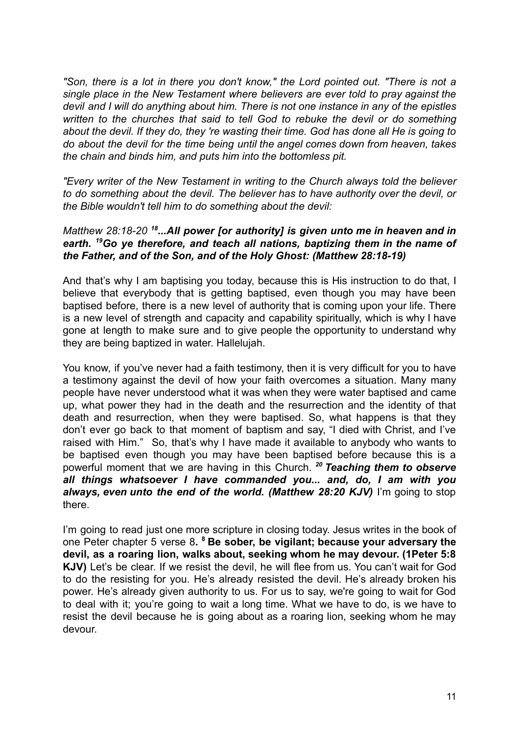*"Son, there is a lot in there you don't know," the Lord pointed out. "There is not a single place in the New Testament where believers are ever told to pray against the devil and I will do anything about him. There is not one instance in any of the epistles written to the churches that said to tell God to rebuke the devil or do something about the devil. If they do, they 're wasting their time. God has done all He is going to do about the devil for the time being until the angel comes down from heaven, takes the chain and binds him, and puts him into the bottomless pit.*

*"Every writer of the New Testament in writing to the Church always told the believer to do something about the devil. The believer has to have authority over the devil, or the Bible wouldn't tell him to do something about the devil:*

## *Matthew 28:18-20 <sup>18</sup> ...All power [or authority] is given unto me in heaven and in earth. <sup>19</sup>Go ye therefore, and teach all nations, baptizing them in the name of the Father, and of the Son, and of the Holy Ghost: (Matthew 28:18-19)*

And that's why I am baptising you today, because this is His instruction to do that, I believe that everybody that is getting baptised, even though you may have been baptised before, there is a new level of authority that is coming upon your life. There is a new level of strength and capacity and capability spiritually, which is why I have gone at length to make sure and to give people the opportunity to understand why they are being baptized in water. Hallelujah.

You know, if you've never had a faith testimony, then it is very difficult for you to have a testimony against the devil of how your faith overcomes a situation. Many many people have never understood what it was when they were water baptised and came up, what power they had in the death and the resurrection and the identity of that death and resurrection, when they were baptised. So, what happens is that they don't ever go back to that moment of baptism and say, "I died with Christ, and I've raised with Him." So, that's why I have made it available to anybody who wants to be baptised even though you may have been baptised before because this is a powerful moment that we are having in this Church. *<sup>20</sup> Teaching them to observe all things whatsoever I have commanded you... and, do, I am with you always, even unto the end of the world. (Matthew 28:20 KJV)* I'm going to stop there.

I'm going to read just one more scripture in closing today. Jesus writes in the book of one Peter chapter 5 verse 8**. <sup>8</sup> Be sober, be vigilant; because your adversary the devil, as a roaring lion, walks about, seeking whom he may devour. (1Peter 5:8 KJV)** Let's be clear. If we resist the devil, he will flee from us. You can't wait for God to do the resisting for you. He's already resisted the devil. He's already broken his power. He's already given authority to us. For us to say, we're going to wait for God to deal with it; you're going to wait a long time. What we have to do, is we have to resist the devil because he is going about as a roaring lion, seeking whom he may devour.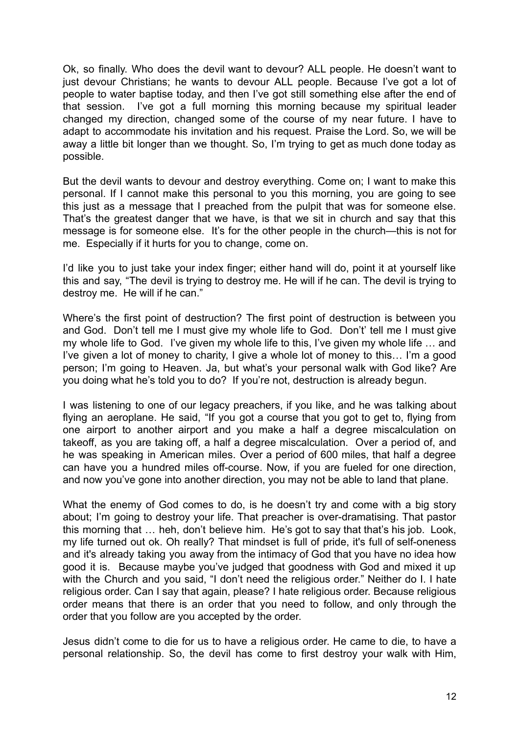Ok, so finally. Who does the devil want to devour? ALL people. He doesn't want to just devour Christians; he wants to devour ALL people. Because I've got a lot of people to water baptise today, and then I've got still something else after the end of that session. I've got a full morning this morning because my spiritual leader changed my direction, changed some of the course of my near future. I have to adapt to accommodate his invitation and his request. Praise the Lord. So, we will be away a little bit longer than we thought. So, I'm trying to get as much done today as possible.

But the devil wants to devour and destroy everything. Come on; I want to make this personal. If I cannot make this personal to you this morning, you are going to see this just as a message that I preached from the pulpit that was for someone else. That's the greatest danger that we have, is that we sit in church and say that this message is for someone else. It's for the other people in the church—this is not for me. Especially if it hurts for you to change, come on.

I'd like you to just take your index finger; either hand will do, point it at yourself like this and say, "The devil is trying to destroy me. He will if he can. The devil is trying to destroy me. He will if he can."

Where's the first point of destruction? The first point of destruction is between you and God. Don't tell me I must give my whole life to God. Don't' tell me I must give my whole life to God. I've given my whole life to this, I've given my whole life … and I've given a lot of money to charity, I give a whole lot of money to this… I'm a good person; I'm going to Heaven. Ja, but what's your personal walk with God like? Are you doing what he's told you to do? If you're not, destruction is already begun.

I was listening to one of our legacy preachers, if you like, and he was talking about flying an aeroplane. He said, "If you got a course that you got to get to, flying from one airport to another airport and you make a half a degree miscalculation on takeoff, as you are taking off, a half a degree miscalculation. Over a period of, and he was speaking in American miles. Over a period of 600 miles, that half a degree can have you a hundred miles off-course. Now, if you are fueled for one direction, and now you've gone into another direction, you may not be able to land that plane.

What the enemy of God comes to do, is he doesn't try and come with a big story about; I'm going to destroy your life. That preacher is over-dramatising. That pastor this morning that … heh, don't believe him. He's got to say that that's his job. Look, my life turned out ok. Oh really? That mindset is full of pride, it's full of self-oneness and it's already taking you away from the intimacy of God that you have no idea how good it is. Because maybe you've judged that goodness with God and mixed it up with the Church and you said, "I don't need the religious order." Neither do I. I hate religious order. Can I say that again, please? I hate religious order. Because religious order means that there is an order that you need to follow, and only through the order that you follow are you accepted by the order.

Jesus didn't come to die for us to have a religious order. He came to die, to have a personal relationship. So, the devil has come to first destroy your walk with Him,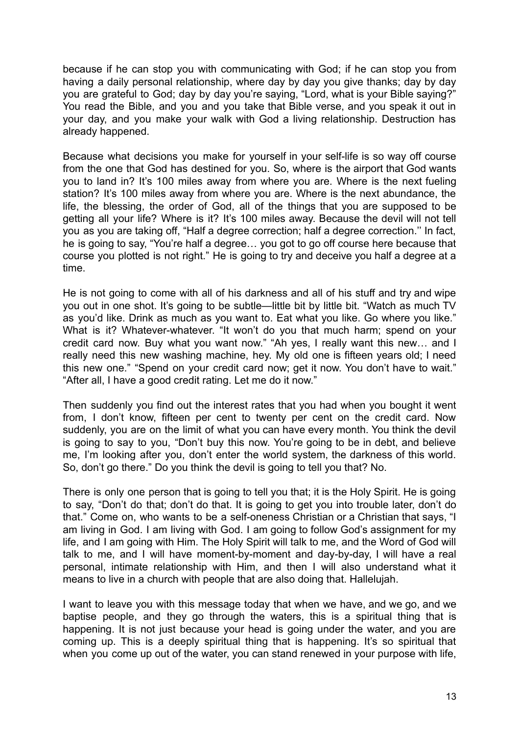because if he can stop you with communicating with God; if he can stop you from having a daily personal relationship, where day by day you give thanks; day by day you are grateful to God; day by day you're saying, "Lord, what is your Bible saying?" You read the Bible, and you and you take that Bible verse, and you speak it out in your day, and you make your walk with God a living relationship. Destruction has already happened.

Because what decisions you make for yourself in your self-life is so way off course from the one that God has destined for you. So, where is the airport that God wants you to land in? It's 100 miles away from where you are. Where is the next fueling station? It's 100 miles away from where you are. Where is the next abundance, the life, the blessing, the order of God, all of the things that you are supposed to be getting all your life? Where is it? It's 100 miles away. Because the devil will not tell you as you are taking off, "Half a degree correction; half a degree correction.'' In fact, he is going to say, "You're half a degree… you got to go off course here because that course you plotted is not right." He is going to try and deceive you half a degree at a time.

He is not going to come with all of his darkness and all of his stuff and try and wipe you out in one shot. It's going to be subtle—little bit by little bit. "Watch as much TV as you'd like. Drink as much as you want to. Eat what you like. Go where you like." What is it? Whatever-whatever. "It won't do you that much harm; spend on your credit card now. Buy what you want now." "Ah yes, I really want this new… and I really need this new washing machine, hey. My old one is fifteen years old; I need this new one." "Spend on your credit card now; get it now. You don't have to wait." "After all, I have a good credit rating. Let me do it now."

Then suddenly you find out the interest rates that you had when you bought it went from, I don't know, fifteen per cent to twenty per cent on the credit card. Now suddenly, you are on the limit of what you can have every month. You think the devil is going to say to you, "Don't buy this now. You're going to be in debt, and believe me, I'm looking after you, don't enter the world system, the darkness of this world. So, don't go there." Do you think the devil is going to tell you that? No.

There is only one person that is going to tell you that; it is the Holy Spirit. He is going to say, "Don't do that; don't do that. It is going to get you into trouble later, don't do that." Come on, who wants to be a self-oneness Christian or a Christian that says, "I am living in God. I am living with God. I am going to follow God's assignment for my life, and I am going with Him. The Holy Spirit will talk to me, and the Word of God will talk to me, and I will have moment-by-moment and day-by-day, I will have a real personal, intimate relationship with Him, and then I will also understand what it means to live in a church with people that are also doing that. Hallelujah.

I want to leave you with this message today that when we have, and we go, and we baptise people, and they go through the waters, this is a spiritual thing that is happening. It is not just because your head is going under the water, and you are coming up. This is a deeply spiritual thing that is happening. It's so spiritual that when you come up out of the water, you can stand renewed in your purpose with life,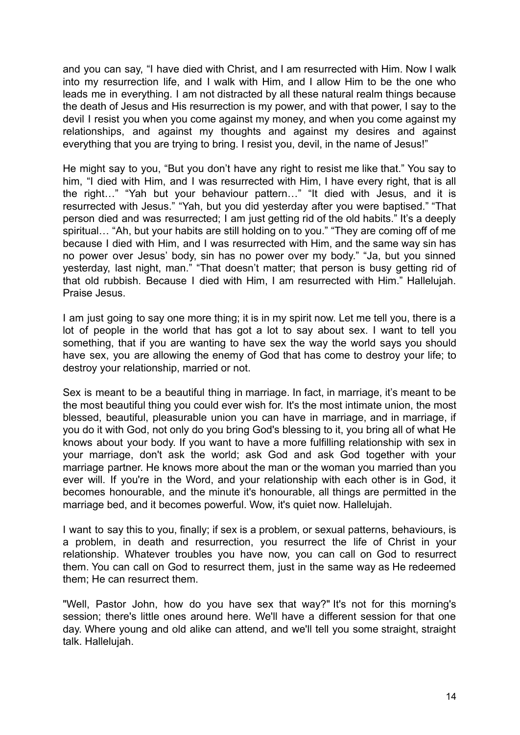and you can say, "I have died with Christ, and I am resurrected with Him. Now I walk into my resurrection life, and I walk with Him, and I allow Him to be the one who leads me in everything. I am not distracted by all these natural realm things because the death of Jesus and His resurrection is my power, and with that power, I say to the devil I resist you when you come against my money, and when you come against my relationships, and against my thoughts and against my desires and against everything that you are trying to bring. I resist you, devil, in the name of Jesus!"

He might say to you, "But you don't have any right to resist me like that." You say to him, "I died with Him, and I was resurrected with Him, I have every right, that is all the right…" "Yah but your behaviour pattern…" "It died with Jesus, and it is resurrected with Jesus." "Yah, but you did yesterday after you were baptised." "That person died and was resurrected; I am just getting rid of the old habits." It's a deeply spiritual… "Ah, but your habits are still holding on to you." "They are coming off of me because I died with Him, and I was resurrected with Him, and the same way sin has no power over Jesus' body, sin has no power over my body." "Ja, but you sinned yesterday, last night, man." "That doesn't matter; that person is busy getting rid of that old rubbish. Because I died with Him, I am resurrected with Him." Hallelujah. Praise Jesus.

I am just going to say one more thing; it is in my spirit now. Let me tell you, there is a lot of people in the world that has got a lot to say about sex. I want to tell you something, that if you are wanting to have sex the way the world says you should have sex, you are allowing the enemy of God that has come to destroy your life; to destroy your relationship, married or not.

Sex is meant to be a beautiful thing in marriage. In fact, in marriage, it's meant to be the most beautiful thing you could ever wish for. It's the most intimate union, the most blessed, beautiful, pleasurable union you can have in marriage, and in marriage, if you do it with God, not only do you bring God's blessing to it, you bring all of what He knows about your body. If you want to have a more fulfilling relationship with sex in your marriage, don't ask the world; ask God and ask God together with your marriage partner. He knows more about the man or the woman you married than you ever will. If you're in the Word, and your relationship with each other is in God, it becomes honourable, and the minute it's honourable, all things are permitted in the marriage bed, and it becomes powerful. Wow, it's quiet now. Hallelujah.

I want to say this to you, finally; if sex is a problem, or sexual patterns, behaviours, is a problem, in death and resurrection, you resurrect the life of Christ in your relationship. Whatever troubles you have now, you can call on God to resurrect them. You can call on God to resurrect them, just in the same way as He redeemed them; He can resurrect them.

"Well, Pastor John, how do you have sex that way?" It's not for this morning's session; there's little ones around here. We'll have a different session for that one day. Where young and old alike can attend, and we'll tell you some straight, straight talk. Hallelujah.